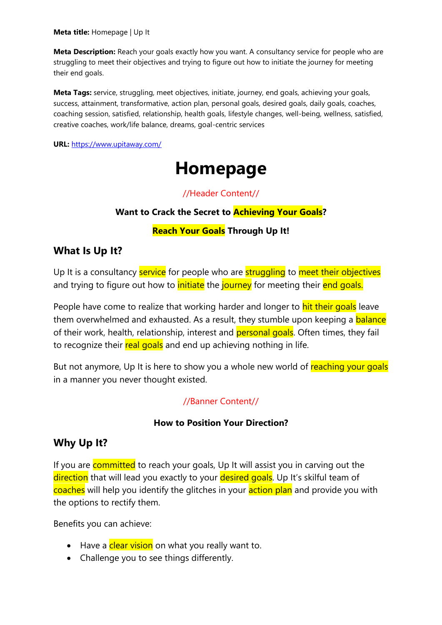**Meta title:** Homepage | Up It

**Meta Description:** Reach your goals exactly how you want. A consultancy service for people who are struggling to meet their objectives and trying to figure out how to initiate the journey for meeting their end goals.

**Meta Tags:** service, struggling, meet objectives, initiate, journey, end goals, achieving your goals, success, attainment, transformative, action plan, personal goals, desired goals, daily goals, coaches, coaching session, satisfied, relationship, health goals, lifestyle changes, well-being, wellness, satisfied, creative coaches, work/life balance, dreams, goal-centric services

**URL:** <https://www.upitaway.com/>

# **Homepage**

//Header Content//

### **Want to Crack the Secret to Achieving Your Goals?**

#### **Reach Your Goals Through Up It!**

## **What Is Up It?**

Up It is a consultancy service for people who are struggling to meet their objectives and trying to figure out how to *initiate* the journey for meeting their end goals.

People have come to realize that working harder and longer to **hit their goals** leave them overwhelmed and exhausted. As a result, they stumble upon keeping a **balance** of their work, health, relationship, interest and personal goals. Often times, they fail to recognize their real goals and end up achieving nothing in life.

But not anymore, Up It is here to show you a whole new world of reaching your goals in a manner you never thought existed.

#### //Banner Content//

#### **How to Position Your Direction?**

## **Why Up It?**

If you are committed to reach your goals, Up It will assist you in carving out the direction that will lead you exactly to your desired goals. Up It's skilful team of coaches will help you identify the glitches in your action plan and provide you with the options to rectify them.

Benefits you can achieve:

- Have a clear vision on what you really want to.
- Challenge you to see things differently.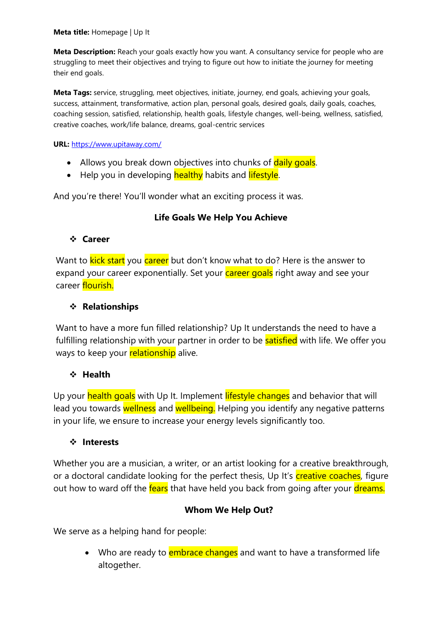**Meta Description:** Reach your goals exactly how you want. A consultancy service for people who are struggling to meet their objectives and trying to figure out how to initiate the journey for meeting their end goals.

**Meta Tags:** service, struggling, meet objectives, initiate, journey, end goals, achieving your goals, success, attainment, transformative, action plan, personal goals, desired goals, daily goals, coaches, coaching session, satisfied, relationship, health goals, lifestyle changes, well-being, wellness, satisfied, creative coaches, work/life balance, dreams, goal-centric services

**URL:** <https://www.upitaway.com/>

- Allows you break down objectives into chunks of daily goals.
- Help you in developing healthy habits and lifestyle.

And you're there! You'll wonder what an exciting process it was.

#### **Life Goals We Help You Achieve**

#### ❖ **Career**

Want to **kick start** you career but don't know what to do? Here is the answer to expand your career exponentially. Set your career goals right away and see your career flourish.

#### ❖ **Relationships**

Want to have a more fun filled relationship? Up It understands the need to have a fulfilling relationship with your partner in order to be **satisfied** with life. We offer you ways to keep your **relationship** alive.

#### ❖ **Health**

Up your health goals with Up It. Implement lifestyle changes and behavior that will lead you towards wellness and wellbeing. Helping you identify any negative patterns in your life, we ensure to increase your energy levels significantly too.

#### ❖ **Interests**

Whether you are a musician, a writer, or an artist looking for a creative breakthrough, or a doctoral candidate looking for the perfect thesis, Up It's **creative coaches**, figure out how to ward off the fears that have held you back from going after your dreams.

#### **Whom We Help Out?**

We serve as a helping hand for people:

• Who are ready to **embrace changes** and want to have a transformed life altogether.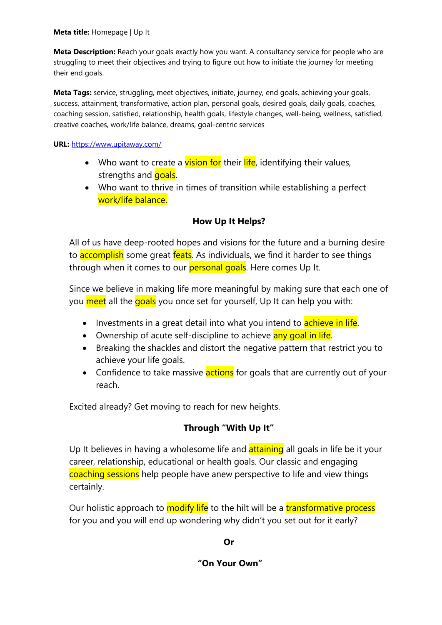**Meta Description:** Reach your goals exactly how you want. A consultancy service for people who are struggling to meet their objectives and trying to figure out how to initiate the journey for meeting their end goals.

**Meta Tags:** service, struggling, meet objectives, initiate, journey, end goals, achieving your goals, success, attainment, transformative, action plan, personal goals, desired goals, daily goals, coaches, coaching session, satisfied, relationship, health goals, lifestyle changes, well-being, wellness, satisfied, creative coaches, work/life balance, dreams, goal-centric services

#### **URL:** <https://www.upitaway.com/>

- Who want to create a vision for their life, identifying their values, strengths and **goals**.
- Who want to thrive in times of transition while establishing a perfect work/life balance.

## **How Up It Helps?**

All of us have deep-rooted hopes and visions for the future and a burning desire to **accomplish** some great **feats**. As individuals, we find it harder to see things through when it comes to our **personal goals**. Here comes Up It.

Since we believe in making life more meaningful by making sure that each one of you meet all the goals you once set for yourself, Up It can help you with:

- Investments in a great detail into what you intend to **achieve in life**.
- Ownership of acute self-discipline to achieve any goal in life.
- Breaking the shackles and distort the negative pattern that restrict you to achieve your life goals.
- Confidence to take massive **actions** for goals that are currently out of your reach.

Excited already? Get moving to reach for new heights.

## **Through "With Up It"**

Up It believes in having a wholesome life and **attaining** all goals in life be it your career, relationship, educational or health goals. Our classic and engaging coaching sessions help people have anew perspective to life and view things certainly.

Our holistic approach to modify life to the hilt will be a transformative process for you and you will end up wondering why didn't you set out for it early?

### **Or**

#### **"On Your Own"**